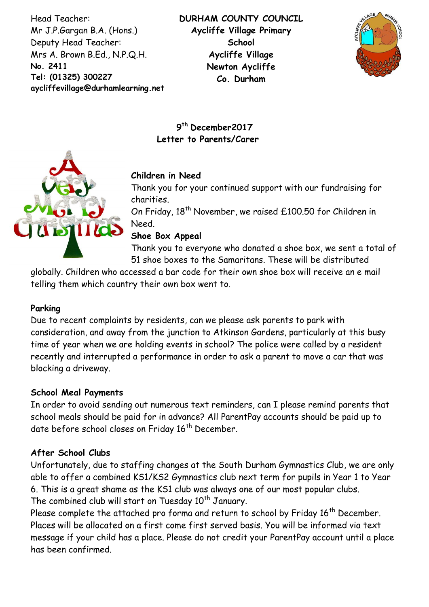Head Teacher: Mr J.P.Gargan B.A. (Hons.) Deputy Head Teacher: Mrs A. Brown B.Ed., N.P.Q.H. **No. 2411 Tel: (01325) 300227 aycliffevillage@durhamlearning.net DL5 6LG** **DURHAM COUNTY COUNCIL Aycliffe Village Primary School Aycliffe Village Newton Aycliffe Co. Durham**



**9 th December2017 Letter to Parents/Carer**



Thank you for your continued support with our fundraising for charities.

On Friday, 18<sup>th</sup> November, we raised £100.50 for Children in Need.

**Shoe Box Appeal**

Thank you to everyone who donated a shoe box, we sent a total of 51 shoe boxes to the Samaritans. These will be distributed

globally. Children who accessed a bar code for their own shoe box will receive an e mail telling them which country their own box went to.

## **Parking**

Due to recent complaints by residents, can we please ask parents to park with consideration, and away from the junction to Atkinson Gardens, particularly at this busy time of year when we are holding events in school? The police were called by a resident recently and interrupted a performance in order to ask a parent to move a car that was blocking a driveway.

#### **School Meal Payments**

In order to avoid sending out numerous text reminders, can I please remind parents that school meals should be paid for in advance? All ParentPay accounts should be paid up to date before school closes on Friday 16<sup>th</sup> December.

## **After School Clubs**

Unfortunately, due to staffing changes at the South Durham Gymnastics Club, we are only able to offer a combined KS1/KS2 Gymnastics club next term for pupils in Year 1 to Year 6. This is a great shame as the KS1 club was always one of our most popular clubs. The combined club will start on Tuesday 10<sup>th</sup> January.

Please complete the attached pro forma and return to school by Friday 16<sup>th</sup> December. Places will be allocated on a first come first served basis. You will be informed via text message if your child has a place. Please do not credit your ParentPay account until a place has been confirmed.

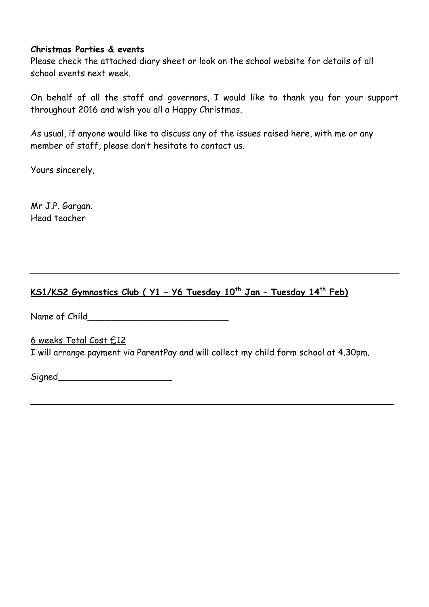#### **Christmas Parties & events**

Please check the attached diary sheet or look on the school website for details of all school events next week.

On behalf of all the staff and governors, I would like to thank you for your support throughout 2016 and wish you all a Happy Christmas.

As usual, if anyone would like to discuss any of the issues raised here, with me or any member of staff, please don't hesitate to contact us.

Yours sincerely,

Mr J.P. Gargan. Head teacher

# **KS1/KS2 Gymnastics Club ( Y1 – Y6 Tuesday 10th Jan – Tuesday 14th Feb)**

Name of Child\_\_\_\_\_\_\_\_\_\_\_\_\_\_\_\_\_\_\_\_\_\_\_\_\_\_

6 weeks Total Cost £12

I will arrange payment via ParentPay and will collect my child form school at 4.30pm.

**\_\_\_\_\_\_\_\_\_\_\_\_\_\_\_\_\_\_\_\_\_\_\_\_\_\_\_\_\_\_\_\_\_\_\_\_\_\_\_\_\_\_\_\_\_\_\_\_\_\_\_\_\_\_\_\_\_\_\_\_\_\_\_\_\_\_\_**

Signed **Signed**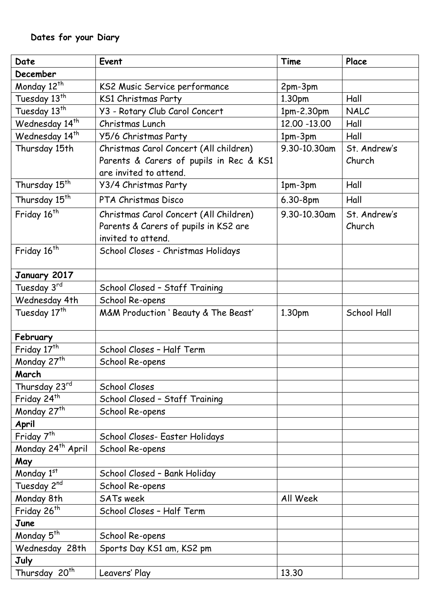| Date                          | Event                                                                                                       | Time          | Place                  |
|-------------------------------|-------------------------------------------------------------------------------------------------------------|---------------|------------------------|
| December                      |                                                                                                             |               |                        |
| Monday 12 <sup>th</sup>       | KS2 Music Service performance                                                                               | 2pm-3pm       |                        |
| Tuesday 13th                  | <b>KS1 Christmas Party</b>                                                                                  | 1.30pm        | Hall                   |
| Tuesday 13th                  | Y3 - Rotary Club Carol Concert                                                                              | 1pm-2.30pm    | NALC                   |
| Wednesday 14 <sup>th</sup>    | Christmas Lunch                                                                                             | 12.00 - 13.00 | Hall                   |
| Wednesday 14 <sup>th</sup>    | Y5/6 Christmas Party                                                                                        | 1pm-3pm       | Hall                   |
| Thursday 15th                 | Christmas Carol Concert (All children)<br>Parents & Carers of pupils in Rec & KS1<br>are invited to attend. | 9.30-10.30am  | St. Andrew's<br>Church |
| Thursday 15 <sup>th</sup>     | Y3/4 Christmas Party                                                                                        | $1pm-3pm$     | Hall                   |
| Thursday 15 <sup>th</sup>     | PTA Christmas Disco                                                                                         | 6.30-8pm      | Hall                   |
| Friday 16 <sup>th</sup>       | Christmas Carol Concert (All Children)<br>Parents & Carers of pupils in KS2 are<br>invited to attend.       | 9.30-10.30am  | St. Andrew's<br>Church |
| Friday 16 <sup>th</sup>       | School Closes - Christmas Holidays                                                                          |               |                        |
| January 2017                  |                                                                                                             |               |                        |
| Tuesday 3rd                   | School Closed - Staff Training                                                                              |               |                        |
| Wednesday 4th                 | School Re-opens                                                                                             |               |                        |
| Tuesday 17 <sup>th</sup>      | M&M Production ' Beauty & The Beast'                                                                        | 1.30pm        | <b>School Hall</b>     |
| February                      |                                                                                                             |               |                        |
| Friday 17 <sup>th</sup>       | School Closes - Half Term                                                                                   |               |                        |
| Monday 27 <sup>th</sup>       | School Re-opens                                                                                             |               |                        |
| March                         |                                                                                                             |               |                        |
| Thursday 23rd                 | <b>School Closes</b>                                                                                        |               |                        |
| Friday 24 <sup>th</sup>       | School Closed - Staff Training                                                                              |               |                        |
| Monday 27th                   | School Re-opens                                                                                             |               |                        |
| April                         |                                                                                                             |               |                        |
| Friday 7 <sup>th</sup>        | School Closes- Easter Holidays                                                                              |               |                        |
| Monday 24 <sup>th</sup> April | School Re-opens                                                                                             |               |                        |
| May                           |                                                                                                             |               |                        |
| Monday 1st                    | School Closed - Bank Holiday                                                                                |               |                        |
| Tuesday 2nd                   | School Re-opens                                                                                             |               |                        |
| Monday 8th                    | <b>SATs week</b>                                                                                            | All Week      |                        |
| Friday 26 <sup>th</sup>       | School Closes - Half Term                                                                                   |               |                        |
| June                          |                                                                                                             |               |                        |
| Monday 5 <sup>th</sup>        | School Re-opens                                                                                             |               |                        |
| Wednesday 28th                | Sports Day KS1 am, KS2 pm                                                                                   |               |                        |
| July                          |                                                                                                             |               |                        |
| Thursday 20 <sup>th</sup>     | Leavers' Play                                                                                               | 13.30         |                        |